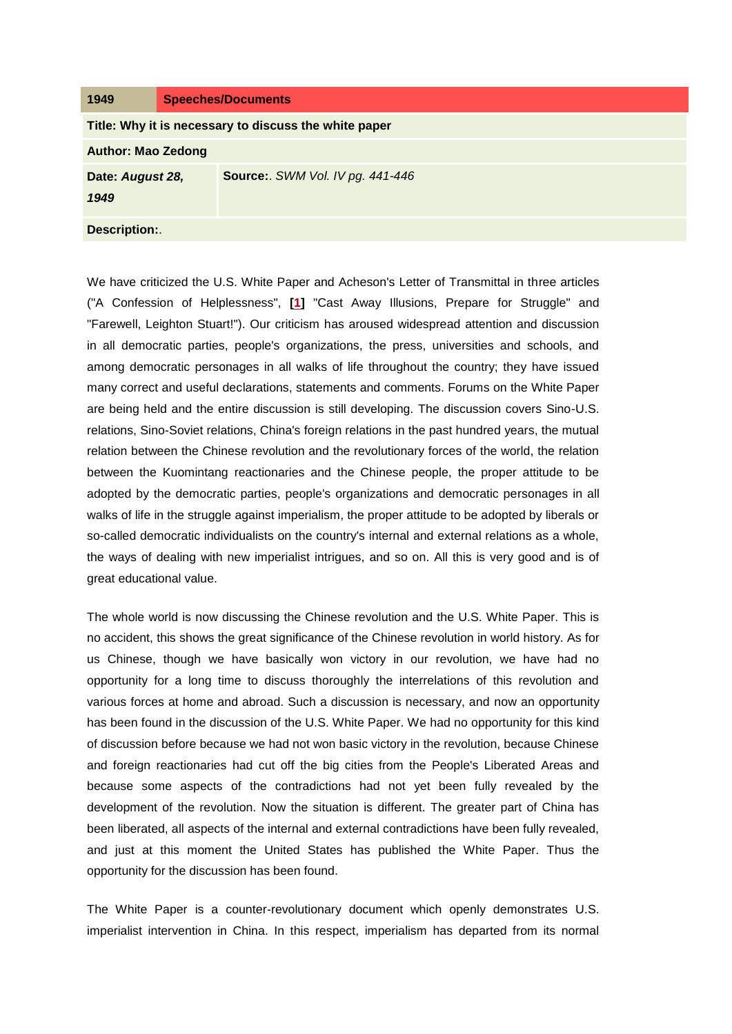| 1949                                                  | <b>Speeches/Documents</b>               |
|-------------------------------------------------------|-----------------------------------------|
| Title: Why it is necessary to discuss the white paper |                                         |
| <b>Author: Mao Zedong</b>                             |                                         |
| Date: August 28,<br>1949                              | <b>Source:.</b> SWM Vol. IV pg. 441-446 |
| <b>Description:.</b>                                  |                                         |

We have criticized the U.S. White Paper and Acheson's Letter of Transmittal in three articles ("A Confession of Helplessness", **[\[1\]](http://www.marxists.org/reference/archive/mao/selected-works/volume-4/mswv4_68.htm#bm1#bm1)** "Cast Away Illusions, Prepare for Struggle" and "Farewell, Leighton Stuart!"). Our criticism has aroused widespread attention and discussion in all democratic parties, people's organizations, the press, universities and schools, and among democratic personages in all walks of life throughout the country; they have issued many correct and useful declarations, statements and comments. Forums on the White Paper are being held and the entire discussion is still developing. The discussion covers Sino-U.S. relations, Sino-Soviet relations, China's foreign relations in the past hundred years, the mutual relation between the Chinese revolution and the revolutionary forces of the world, the relation between the Kuomintang reactionaries and the Chinese people, the proper attitude to be adopted by the democratic parties, people's organizations and democratic personages in all walks of life in the struggle against imperialism, the proper attitude to be adopted by liberals or so-called democratic individualists on the country's internal and external relations as a whole, the ways of dealing with new imperialist intrigues, and so on. All this is very good and is of great educational value.

The whole world is now discussing the Chinese revolution and the U.S. White Paper. This is no accident, this shows the great significance of the Chinese revolution in world history. As for us Chinese, though we have basically won victory in our revolution, we have had no opportunity for a long time to discuss thoroughly the interrelations of this revolution and various forces at home and abroad. Such a discussion is necessary, and now an opportunity has been found in the discussion of the U.S. White Paper. We had no opportunity for this kind of discussion before because we had not won basic victory in the revolution, because Chinese and foreign reactionaries had cut off the big cities from the People's Liberated Areas and because some aspects of the contradictions had not yet been fully revealed by the development of the revolution. Now the situation is different. The greater part of China has been liberated, all aspects of the internal and external contradictions have been fully revealed, and just at this moment the United States has published the White Paper. Thus the opportunity for the discussion has been found.

The White Paper is a counter-revolutionary document which openly demonstrates U.S. imperialist intervention in China. In this respect, imperialism has departed from its normal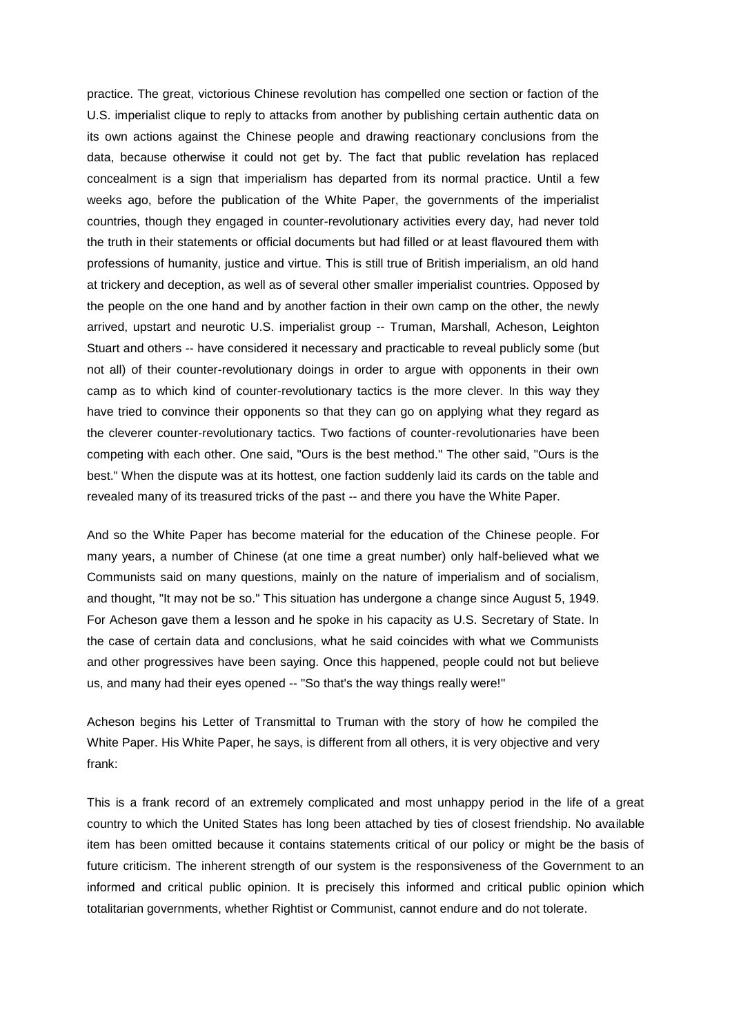practice. The great, victorious Chinese revolution has compelled one section or faction of the U.S. imperialist clique to reply to attacks from another by publishing certain authentic data on its own actions against the Chinese people and drawing reactionary conclusions from the data, because otherwise it could not get by. The fact that public revelation has replaced concealment is a sign that imperialism has departed from its normal practice. Until a few weeks ago, before the publication of the White Paper, the governments of the imperialist countries, though they engaged in counter-revolutionary activities every day, had never told the truth in their statements or official documents but had filled or at least flavoured them with professions of humanity, justice and virtue. This is still true of British imperialism, an old hand at trickery and deception, as well as of several other smaller imperialist countries. Opposed by the people on the one hand and by another faction in their own camp on the other, the newly arrived, upstart and neurotic U.S. imperialist group -- Truman, Marshall, Acheson, Leighton Stuart and others -- have considered it necessary and practicable to reveal publicly some (but not all) of their counter-revolutionary doings in order to argue with opponents in their own camp as to which kind of counter-revolutionary tactics is the more clever. In this way they have tried to convince their opponents so that they can go on applying what they regard as the cleverer counter-revolutionary tactics. Two factions of counter-revolutionaries have been competing with each other. One said, "Ours is the best method." The other said, "Ours is the best." When the dispute was at its hottest, one faction suddenly laid its cards on the table and revealed many of its treasured tricks of the past -- and there you have the White Paper.

And so the White Paper has become material for the education of the Chinese people. For many years, a number of Chinese (at one time a great number) only half-believed what we Communists said on many questions, mainly on the nature of imperialism and of socialism, and thought, "It may not be so." This situation has undergone a change since August 5, 1949. For Acheson gave them a lesson and he spoke in his capacity as U.S. Secretary of State. In the case of certain data and conclusions, what he said coincides with what we Communists and other progressives have been saying. Once this happened, people could not but believe us, and many had their eyes opened -- "So that's the way things really were!"

Acheson begins his Letter of Transmittal to Truman with the story of how he compiled the White Paper. His White Paper, he says, is different from all others, it is very objective and very frank:

This is a frank record of an extremely complicated and most unhappy period in the life of a great country to which the United States has long been attached by ties of closest friendship. No available item has been omitted because it contains statements critical of our policy or might be the basis of future criticism. The inherent strength of our system is the responsiveness of the Government to an informed and critical public opinion. It is precisely this informed and critical public opinion which totalitarian governments, whether Rightist or Communist, cannot endure and do not tolerate.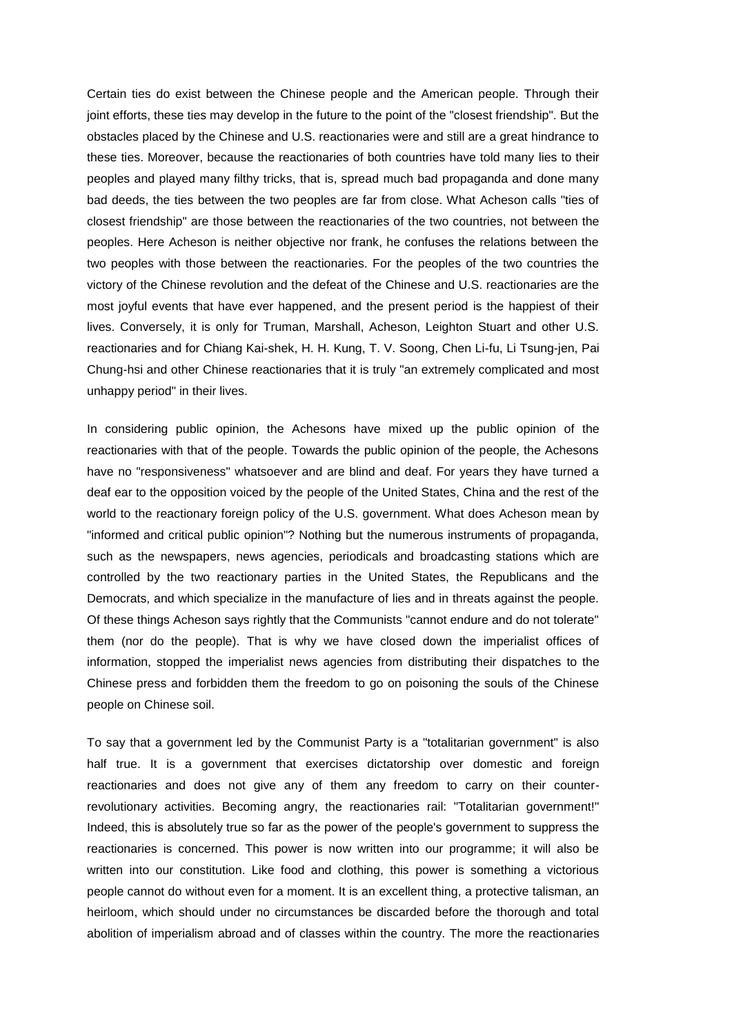Certain ties do exist between the Chinese people and the American people. Through their joint efforts, these ties may develop in the future to the point of the "closest friendship". But the obstacles placed by the Chinese and U.S. reactionaries were and still are a great hindrance to these ties. Moreover, because the reactionaries of both countries have told many lies to their peoples and played many filthy tricks, that is, spread much bad propaganda and done many bad deeds, the ties between the two peoples are far from close. What Acheson calls "ties of closest friendship" are those between the reactionaries of the two countries, not between the peoples. Here Acheson is neither objective nor frank, he confuses the relations between the two peoples with those between the reactionaries. For the peoples of the two countries the victory of the Chinese revolution and the defeat of the Chinese and U.S. reactionaries are the most joyful events that have ever happened, and the present period is the happiest of their lives. Conversely, it is only for Truman, Marshall, Acheson, Leighton Stuart and other U.S. reactionaries and for Chiang Kai-shek, H. H. Kung, T. V. Soong, Chen Li-fu, Li Tsung-jen, Pai Chung-hsi and other Chinese reactionaries that it is truly "an extremely complicated and most unhappy period" in their lives.

In considering public opinion, the Achesons have mixed up the public opinion of the reactionaries with that of the people. Towards the public opinion of the people, the Achesons have no "responsiveness" whatsoever and are blind and deaf. For years they have turned a deaf ear to the opposition voiced by the people of the United States, China and the rest of the world to the reactionary foreign policy of the U.S. government. What does Acheson mean by "informed and critical public opinion"? Nothing but the numerous instruments of propaganda, such as the newspapers, news agencies, periodicals and broadcasting stations which are controlled by the two reactionary parties in the United States, the Republicans and the Democrats, and which specialize in the manufacture of lies and in threats against the people. Of these things Acheson says rightly that the Communists "cannot endure and do not tolerate" them (nor do the people). That is why we have closed down the imperialist offices of information, stopped the imperialist news agencies from distributing their dispatches to the Chinese press and forbidden them the freedom to go on poisoning the souls of the Chinese people on Chinese soil.

To say that a government led by the Communist Party is a "totalitarian government" is also half true. It is a government that exercises dictatorship over domestic and foreign reactionaries and does not give any of them any freedom to carry on their counterrevolutionary activities. Becoming angry, the reactionaries rail: "Totalitarian government!" Indeed, this is absolutely true so far as the power of the people's government to suppress the reactionaries is concerned. This power is now written into our programme; it will also be written into our constitution. Like food and clothing, this power is something a victorious people cannot do without even for a moment. It is an excellent thing, a protective talisman, an heirloom, which should under no circumstances be discarded before the thorough and total abolition of imperialism abroad and of classes within the country. The more the reactionaries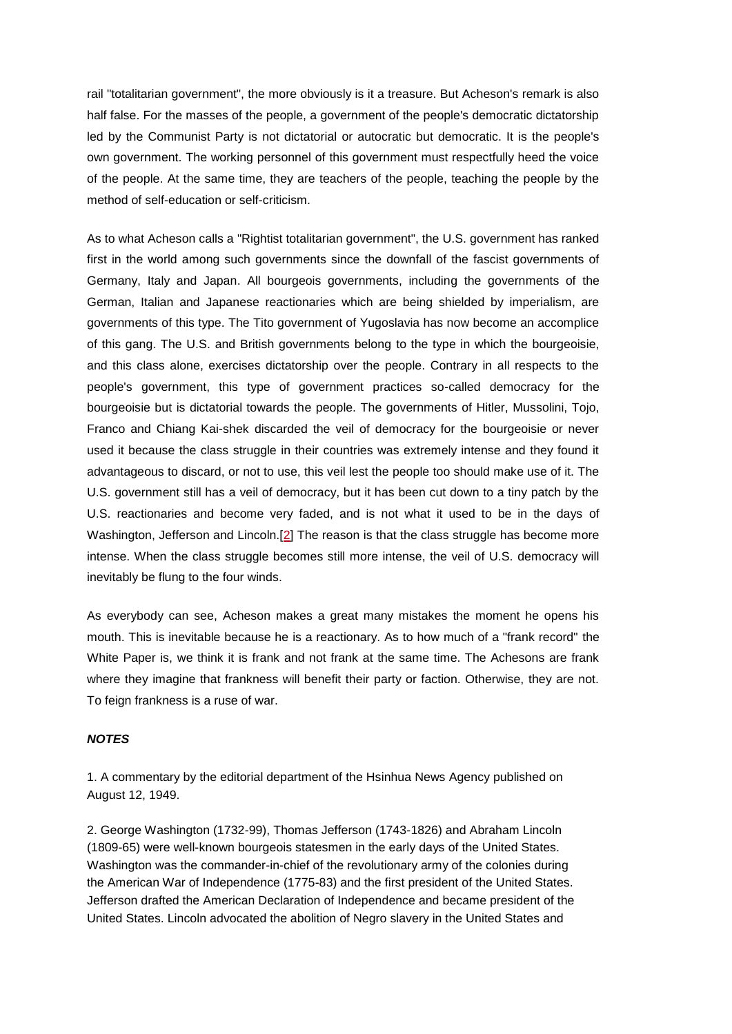rail "totalitarian government", the more obviously is it a treasure. But Acheson's remark is also half false. For the masses of the people, a government of the people's democratic dictatorship led by the Communist Party is not dictatorial or autocratic but democratic. It is the people's own government. The working personnel of this government must respectfully heed the voice of the people. At the same time, they are teachers of the people, teaching the people by the method of self-education or self-criticism.

As to what Acheson calls a "Rightist totalitarian government", the U.S. government has ranked first in the world among such governments since the downfall of the fascist governments of Germany, Italy and Japan. All bourgeois governments, including the governments of the German, Italian and Japanese reactionaries which are being shielded by imperialism, are governments of this type. The Tito government of Yugoslavia has now become an accomplice of this gang. The U.S. and British governments belong to the type in which the bourgeoisie, and this class alone, exercises dictatorship over the people. Contrary in all respects to the people's government, this type of government practices so-called democracy for the bourgeoisie but is dictatorial towards the people. The governments of Hitler, Mussolini, Tojo, Franco and Chiang Kai-shek discarded the veil of democracy for the bourgeoisie or never used it because the class struggle in their countries was extremely intense and they found it advantageous to discard, or not to use, this veil lest the people too should make use of it. The U.S. government still has a veil of democracy, but it has been cut down to a tiny patch by the U.S. reactionaries and become very faded, and is not what it used to be in the days of Washington, Jefferson and Lincoln.<sup>[\[2\]](http://www.marxists.org/reference/archive/mao/selected-works/volume-4/mswv4_68.htm#bm2#bm2)</sup> The reason is that the class struggle has become more intense. When the class struggle becomes still more intense, the veil of U.S. democracy will inevitably be flung to the four winds.

As everybody can see, Acheson makes a great many mistakes the moment he opens his mouth. This is inevitable because he is a reactionary. As to how much of a "frank record" the White Paper is, we think it is frank and not frank at the same time. The Achesons are frank where they imagine that frankness will benefit their party or faction. Otherwise, they are not. To feign frankness is a ruse of war.

## *NOTES*

1. A commentary by the editorial department of the Hsinhua News Agency published on August 12, 1949.

2. George Washington (1732-99), Thomas Jefferson (1743-1826) and Abraham Lincoln (1809-65) were well-known bourgeois statesmen in the early days of the United States. Washington was the commander-in-chief of the revolutionary army of the colonies during the American War of Independence (1775-83) and the first president of the United States. Jefferson drafted the American Declaration of Independence and became president of the United States. Lincoln advocated the abolition of Negro slavery in the United States and